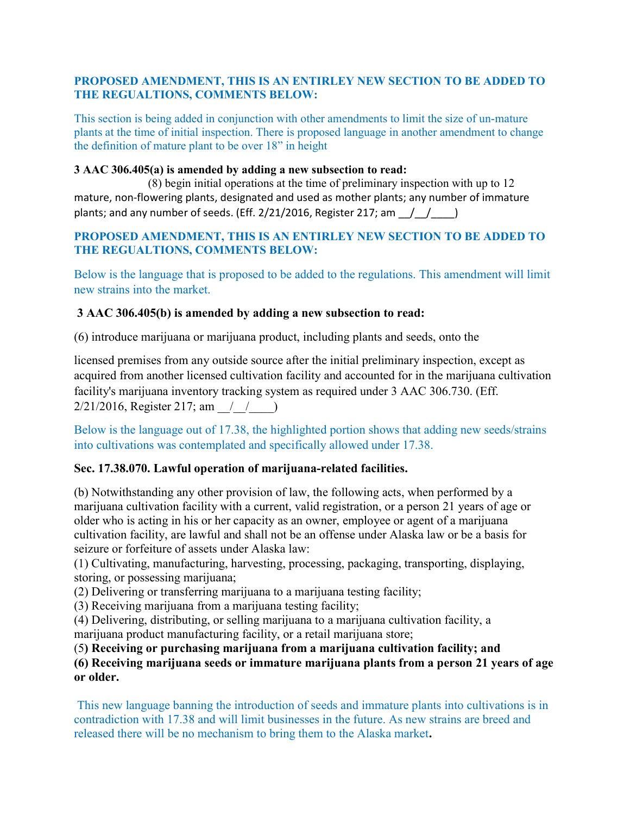### PROPOSED AMENDMENT, THIS IS AN ENTIRLEY NEW SECTION TO BE ADDED TO THE REGUALTIONS, COMMENTS BELOW:

This section is being added in conjunction with other amendments to limit the size of un-mature plants at the time of initial inspection. There is proposed language in another amendment to change the definition of mature plant to be over 18" in height

### 3 AAC 306.405(a) is amended by adding a new subsection to read:

(8) begin initial operations at the time of preliminary inspection with up to 12 mature, non-flowering plants, designated and used as mother plants; any number of immature plants; and any number of seeds. (Eff.  $2/21/2016$ , Register 217; am  $\frac{1}{2}$ 

## PROPOSED AMENDMENT, THIS IS AN ENTIRLEY NEW SECTION TO BE ADDED TO THE REGUALTIONS, COMMENTS BELOW:

Below is the language that is proposed to be added to the regulations. This amendment will limit new strains into the market.

## 3 AAC 306.405(b) is amended by adding a new subsection to read:

(6) introduce marijuana or marijuana product, including plants and seeds, onto the

licensed premises from any outside source after the initial preliminary inspection, except as acquired from another licensed cultivation facility and accounted for in the marijuana cultivation facility's marijuana inventory tracking system as required under 3 AAC 306.730. (Eff.  $2/21/2016$ , Register 217; am  $\left( \begin{array}{cc} \end{array} \right)$ 

Below is the language out of 17.38, the highlighted portion shows that adding new seeds/strains into cultivations was contemplated and specifically allowed under 17.38.

# Sec. 17.38.070. Lawful operation of marijuana-related facilities.

(b) Notwithstanding any other provision of law, the following acts, when performed by a marijuana cultivation facility with a current, valid registration, or a person 21 years of age or older who is acting in his or her capacity as an owner, employee or agent of a marijuana cultivation facility, are lawful and shall not be an offense under Alaska law or be a basis for seizure or forfeiture of assets under Alaska law:

(1) Cultivating, manufacturing, harvesting, processing, packaging, transporting, displaying, storing, or possessing marijuana;

(2) Delivering or transferring marijuana to a marijuana testing facility;

(3) Receiving marijuana from a marijuana testing facility;

(4) Delivering, distributing, or selling marijuana to a marijuana cultivation facility, a marijuana product manufacturing facility, or a retail marijuana store;

(5) Receiving or purchasing marijuana from a marijuana cultivation facility; and

(6) Receiving marijuana seeds or immature marijuana plants from a person 21 years of age or older.

This new language banning the introduction of seeds and immature plants into cultivations is in contradiction with 17.38 and will limit businesses in the future. As new strains are breed and released there will be no mechanism to bring them to the Alaska market.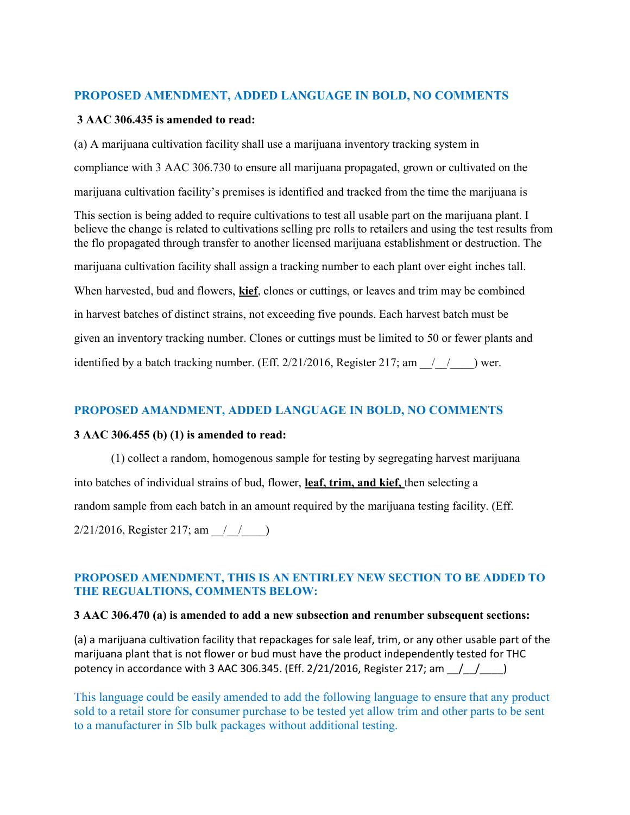## PROPOSED AMENDMENT, ADDED LANGUAGE IN BOLD, NO COMMENTS

#### 3 AAC 306.435 is amended to read:

(a) A marijuana cultivation facility shall use a marijuana inventory tracking system in compliance with 3 AAC 306.730 to ensure all marijuana propagated, grown or cultivated on the marijuana cultivation facility's premises is identified and tracked from the time the marijuana is

This section is being added to require cultivations to test all usable part on the marijuana plant. I believe the change is related to cultivations selling pre rolls to retailers and using the test results from the flo propagated through transfer to another licensed marijuana establishment or destruction. The

marijuana cultivation facility shall assign a tracking number to each plant over eight inches tall.

When harvested, bud and flowers, **kief**, clones or cuttings, or leaves and trim may be combined

in harvest batches of distinct strains, not exceeding five pounds. Each harvest batch must be

given an inventory tracking number. Clones or cuttings must be limited to 50 or fewer plants and

identified by a batch tracking number. (Eff.  $2/21/2016$ , Register 217; am  $\left($   $/$   $\right)$  wer.

## PROPOSED AMANDMENT, ADDED LANGUAGE IN BOLD, NO COMMENTS

#### 3 AAC 306.455 (b) (1) is amended to read:

(1) collect a random, homogenous sample for testing by segregating harvest marijuana into batches of individual strains of bud, flower, leaf, trim, and kief, then selecting a random sample from each batch in an amount required by the marijuana testing facility. (Eff. 2/21/2016, Register 217; am 1/1/2016

### PROPOSED AMENDMENT, THIS IS AN ENTIRLEY NEW SECTION TO BE ADDED TO THE REGUALTIONS, COMMENTS BELOW:

#### 3 AAC 306.470 (a) is amended to add a new subsection and renumber subsequent sections:

(a) a marijuana cultivation facility that repackages for sale leaf, trim, or any other usable part of the marijuana plant that is not flower or bud must have the product independently tested for THC potency in accordance with 3 AAC 306.345. (Eff.  $2/21/2016$ , Register 217; am  $\left($   $\left($ 

This language could be easily amended to add the following language to ensure that any product sold to a retail store for consumer purchase to be tested yet allow trim and other parts to be sent to a manufacturer in 5lb bulk packages without additional testing.